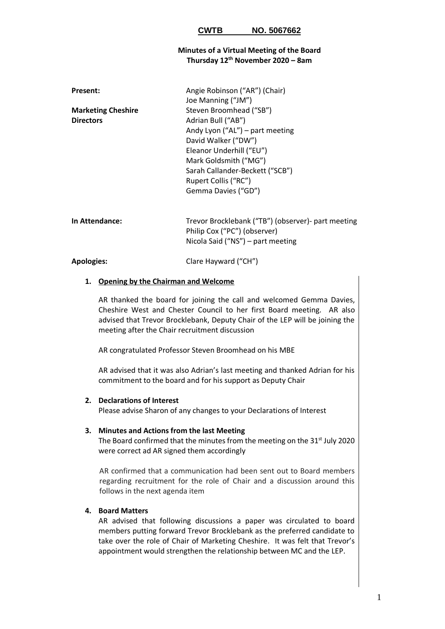### **CWTB NO. 5067662**

### **Minutes of a Virtual Meeting of the Board Thursday 12th November 2020 – 8am**

| <b>Present:</b>           | Angie Robinson ("AR") (Chair)   |
|---------------------------|---------------------------------|
|                           | Joe Manning ("JM")              |
| <b>Marketing Cheshire</b> | Steven Broomhead ("SB")         |
| <b>Directors</b>          | Adrian Bull ("AB")              |
|                           | Andy Lyon ("AL") – part meeting |
|                           | David Walker ("DW")             |
|                           | Eleanor Underhill ("EU")        |
|                           | Mark Goldsmith ("MG")           |
|                           | Sarah Callander-Beckett ("SCB") |
|                           | Rupert Collis ("RC")            |
|                           | Gemma Davies ("GD")             |
|                           |                                 |

**In Attendance:** Trevor Brocklebank ("TB") (observer)- part meeting Philip Cox ("PC") (observer) Nicola Said ("NS") – part meeting

#### **Apologies:** Clare Hayward ("CH")

#### **1. Opening by the Chairman and Welcome**

AR thanked the board for joining the call and welcomed Gemma Davies, Cheshire West and Chester Council to her first Board meeting. AR also advised that Trevor Brocklebank, Deputy Chair of the LEP will be joining the meeting after the Chair recruitment discussion

AR congratulated Professor Steven Broomhead on his MBE

AR advised that it was also Adrian's last meeting and thanked Adrian for his commitment to the board and for his support as Deputy Chair

#### **2. Declarations of Interest**

Please advise Sharon of any changes to your Declarations of Interest

#### **3. Minutes and Actions from the last Meeting**

The Board confirmed that the minutes from the meeting on the  $31<sup>st</sup>$  July 2020 were correct ad AR signed them accordingly

AR confirmed that a communication had been sent out to Board members regarding recruitment for the role of Chair and a discussion around this follows in the next agenda item

## **4. Board Matters**

AR advised that following discussions a paper was circulated to board members putting forward Trevor Brocklebank as the preferred candidate to take over the role of Chair of Marketing Cheshire. It was felt that Trevor's appointment would strengthen the relationship between MC and the LEP.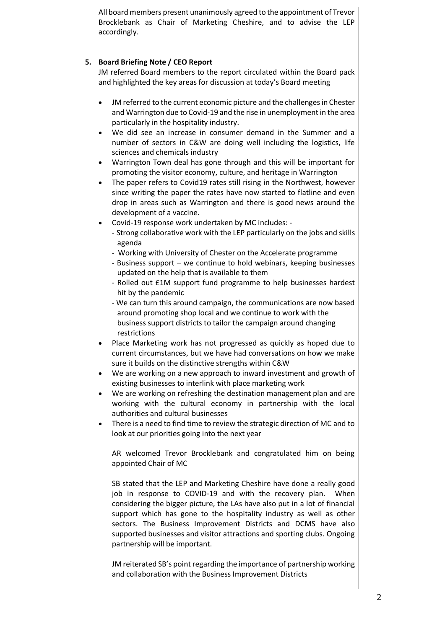All board members present unanimously agreed to the appointment of Trevor Brocklebank as Chair of Marketing Cheshire, and to advise the LEP accordingly.

# **5. Board Briefing Note / CEO Report**

JM referred Board members to the report circulated within the Board pack and highlighted the key areas for discussion at today's Board meeting

- JM referred to the current economic picture and the challenges in Chester and Warrington due to Covid-19 and the rise in unemployment in the area particularly in the hospitality industry.
- We did see an increase in consumer demand in the Summer and a number of sectors in C&W are doing well including the logistics, life sciences and chemicals industry
- Warrington Town deal has gone through and this will be important for promoting the visitor economy, culture, and heritage in Warrington
- The paper refers to Covid19 rates still rising in the Northwest, however since writing the paper the rates have now started to flatline and even drop in areas such as Warrington and there is good news around the development of a vaccine.
- Covid-19 response work undertaken by MC includes:
	- Strong collaborative work with the LEP particularly on the jobs and skills agenda
	- Working with University of Chester on the Accelerate programme
	- Business support we continue to hold webinars, keeping businesses updated on the help that is available to them
	- Rolled out £1M support fund programme to help businesses hardest hit by the pandemic
	- We can turn this around campaign, the communications are now based around promoting shop local and we continue to work with the business support districts to tailor the campaign around changing restrictions
- Place Marketing work has not progressed as quickly as hoped due to current circumstances, but we have had conversations on how we make sure it builds on the distinctive strengths within C&W
- We are working on a new approach to inward investment and growth of existing businesses to interlink with place marketing work
- We are working on refreshing the destination management plan and are working with the cultural economy in partnership with the local authorities and cultural businesses
- There is a need to find time to review the strategic direction of MC and to look at our priorities going into the next year

AR welcomed Trevor Brocklebank and congratulated him on being appointed Chair of MC

SB stated that the LEP and Marketing Cheshire have done a really good job in response to COVID-19 and with the recovery plan. When considering the bigger picture, the LAs have also put in a lot of financial support which has gone to the hospitality industry as well as other sectors. The Business Improvement Districts and DCMS have also supported businesses and visitor attractions and sporting clubs. Ongoing partnership will be important.

JM reiterated SB's point regarding the importance of partnership working and collaboration with the Business Improvement Districts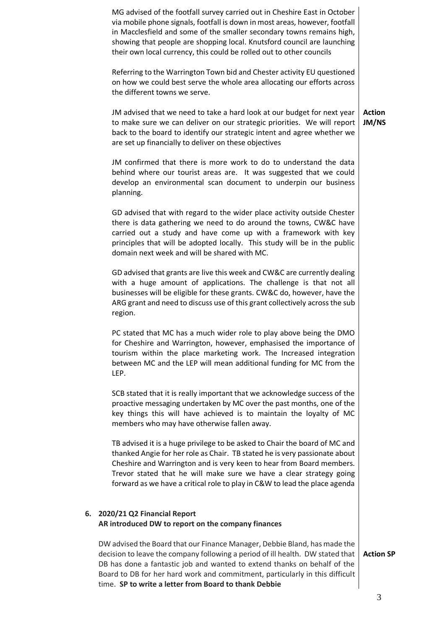|    | MG advised of the footfall survey carried out in Cheshire East in October<br>via mobile phone signals, footfall is down in most areas, however, footfall<br>in Macclesfield and some of the smaller secondary towns remains high,<br>showing that people are shopping local. Knutsford council are launching<br>their own local currency, this could be rolled out to other councils  |                        |
|----|---------------------------------------------------------------------------------------------------------------------------------------------------------------------------------------------------------------------------------------------------------------------------------------------------------------------------------------------------------------------------------------|------------------------|
|    | Referring to the Warrington Town bid and Chester activity EU questioned<br>on how we could best serve the whole area allocating our efforts across<br>the different towns we serve.                                                                                                                                                                                                   |                        |
|    | JM advised that we need to take a hard look at our budget for next year<br>to make sure we can deliver on our strategic priorities. We will report<br>back to the board to identify our strategic intent and agree whether we<br>are set up financially to deliver on these objectives                                                                                                | <b>Action</b><br>JM/NS |
|    | JM confirmed that there is more work to do to understand the data<br>behind where our tourist areas are. It was suggested that we could<br>develop an environmental scan document to underpin our business<br>planning.                                                                                                                                                               |                        |
|    | GD advised that with regard to the wider place activity outside Chester<br>there is data gathering we need to do around the towns, CW&C have<br>carried out a study and have come up with a framework with key<br>principles that will be adopted locally. This study will be in the public<br>domain next week and will be shared with MC.                                           |                        |
|    | GD advised that grants are live this week and CW&C are currently dealing<br>with a huge amount of applications. The challenge is that not all<br>businesses will be eligible for these grants. CW&C do, however, have the<br>ARG grant and need to discuss use of this grant collectively across the sub<br>region.                                                                   |                        |
|    | PC stated that MC has a much wider role to play above being the DMO<br>for Cheshire and Warrington, however, emphasised the importance of<br>tourism within the place marketing work. The Increased integration<br>between MC and the LEP will mean additional funding for MC from the<br>LEP.                                                                                        |                        |
|    | SCB stated that it is really important that we acknowledge success of the<br>proactive messaging undertaken by MC over the past months, one of the<br>key things this will have achieved is to maintain the loyalty of MC<br>members who may have otherwise fallen away.                                                                                                              |                        |
|    | TB advised it is a huge privilege to be asked to Chair the board of MC and<br>thanked Angie for her role as Chair. TB stated he is very passionate about<br>Cheshire and Warrington and is very keen to hear from Board members.<br>Trevor stated that he will make sure we have a clear strategy going<br>forward as we have a critical role to play in C&W to lead the place agenda |                        |
| 6. | 2020/21 Q2 Financial Report<br>AR introduced DW to report on the company finances                                                                                                                                                                                                                                                                                                     |                        |
|    | DW advised the Board that our Finance Manager, Debbie Bland, has made the<br>decision to leave the company following a period of ill health. DW stated that<br>DB has done a fantastic job and wanted to extend thanks on behalf of the<br>Board to DB for her hard work and commitment, particularly in this difficult<br>time. SP to write a letter from Board to thank Debbie      | <b>Action SP</b>       |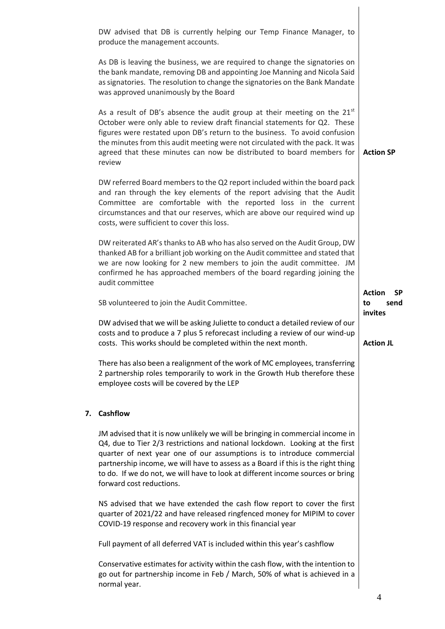|    | DW advised that DB is currently helping our Temp Finance Manager, to<br>produce the management accounts.                                                                                                                                                                                                                                                                                                                                   |                                          |
|----|--------------------------------------------------------------------------------------------------------------------------------------------------------------------------------------------------------------------------------------------------------------------------------------------------------------------------------------------------------------------------------------------------------------------------------------------|------------------------------------------|
|    | As DB is leaving the business, we are required to change the signatories on<br>the bank mandate, removing DB and appointing Joe Manning and Nicola Said<br>as signatories. The resolution to change the signatories on the Bank Mandate<br>was approved unanimously by the Board                                                                                                                                                           |                                          |
|    | As a result of DB's absence the audit group at their meeting on the $21st$<br>October were only able to review draft financial statements for Q2. These<br>figures were restated upon DB's return to the business. To avoid confusion<br>the minutes from this audit meeting were not circulated with the pack. It was<br>agreed that these minutes can now be distributed to board members for<br>review                                  | <b>Action SP</b>                         |
|    | DW referred Board members to the Q2 report included within the board pack<br>and ran through the key elements of the report advising that the Audit<br>Committee are comfortable with the reported loss in the current<br>circumstances and that our reserves, which are above our required wind up<br>costs, were sufficient to cover this loss.                                                                                          |                                          |
|    | DW reiterated AR's thanks to AB who has also served on the Audit Group, DW<br>thanked AB for a brilliant job working on the Audit committee and stated that<br>we are now looking for 2 new members to join the audit committee. JM<br>confirmed he has approached members of the board regarding joining the<br>audit committee                                                                                                           |                                          |
|    | SB volunteered to join the Audit Committee.                                                                                                                                                                                                                                                                                                                                                                                                | <b>Action</b><br><b>SP</b><br>to<br>send |
|    | DW advised that we will be asking Juliette to conduct a detailed review of our<br>costs and to produce a 7 plus 5 reforecast including a review of our wind-up<br>costs. This works should be completed within the next month.                                                                                                                                                                                                             | invites<br><b>Action JL</b>              |
|    | There has also been a realignment of the work of MC employees, transferring<br>2 partnership roles temporarily to work in the Growth Hub therefore these<br>employee costs will be covered by the LEP                                                                                                                                                                                                                                      |                                          |
| 7. | <b>Cashflow</b>                                                                                                                                                                                                                                                                                                                                                                                                                            |                                          |
|    | JM advised that it is now unlikely we will be bringing in commercial income in<br>Q4, due to Tier 2/3 restrictions and national lockdown. Looking at the first<br>quarter of next year one of our assumptions is to introduce commercial<br>partnership income, we will have to assess as a Board if this is the right thing<br>to do. If we do not, we will have to look at different income sources or bring<br>forward cost reductions. |                                          |
|    | NS advised that we have extended the cash flow report to cover the first<br>quarter of 2021/22 and have released ringfenced money for MIPIM to cover<br>COVID-19 response and recovery work in this financial year                                                                                                                                                                                                                         |                                          |
|    | Full payment of all deferred VAT is included within this year's cashflow                                                                                                                                                                                                                                                                                                                                                                   |                                          |
|    | Conservative estimates for activity within the cash flow, with the intention to<br>go out for partnership income in Feb / March, 50% of what is achieved in a<br>normal year.                                                                                                                                                                                                                                                              |                                          |